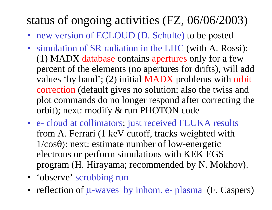## status of ongoing activities (FZ, 06/06/2003)

- new version of ECLOUD (D. Schulte) to be posted
- simulation of SR radiation in the LHC (with A. Rossi): (1) MADX database contains apertures only for a few percent of the elements (no apertures for drifts), will add values 'by hand'; (2) initial MADX problems with orbit correction (default gives no solution; also the twiss and plot commands do no longer respond after correcting the orbit); next: modify & run PHOTON code
- e- cloud at collimators; just received FLUKA results from A. Ferrari (1 keV cutoff, tracks weighted with  $1/cos\theta$ ; next: estimate number of low-energetic electrons or perform simulations with KEK EGS program (H. Hirayama; recommended by N. Mokhov).
- 'observe' scrubbing run
- reflection of  $\mu$ -waves by inhom. e- plasma (F. Caspers)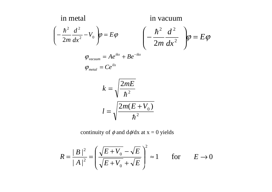$$
\left(-\frac{\hbar^2}{2m}\frac{d^2}{dx^2}-V_0\right)\!\varphi = E\varphi \qquad \qquad \left(-\frac{\hbar^2}{2m}\frac{d^2}{dx^2}\right)\!\varphi = E\varphi
$$

$$
\varphi_{vacuum} = Ae^{ikx} + Be^{-ikx}
$$

$$
\varphi_{\text{metal}} = Ce^{ux}
$$

$$
k = \sqrt{\frac{2mE}{\hbar^2}}
$$

$$
l = \sqrt{\frac{2m(E + V_0)}{\hbar^2}}
$$

continuity of  $\phi$  and d $\phi$ /dx at x = 0 yields

$$
R = \frac{|B|^2}{|A|^2} = \left(\frac{\sqrt{E + V_0} - \sqrt{E}}{\sqrt{E + V_0} + \sqrt{E}}\right)^2 \approx 1 \quad \text{for} \quad E \to 0
$$